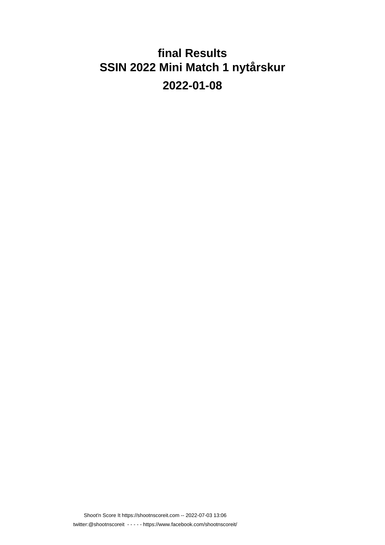### **final Results SSIN 2022 Mini Match 1 nytårskur 2022-01-08**

Shoot'n Score It https://shootnscoreit.com -- 2022-07-03 13:06 twitter:@shootnscoreit - - - - - https://www.facebook.com/shootnscoreit/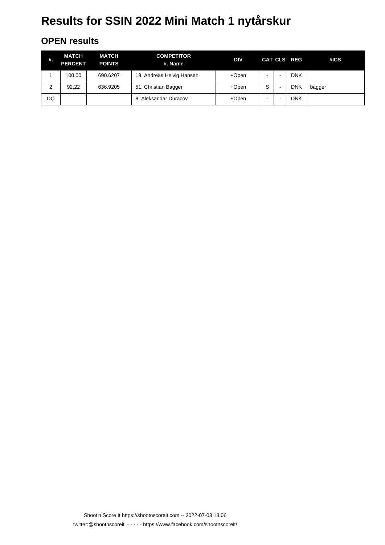#### **OPEN results**

| #. | <b>MATCH</b><br><b>PERCENT</b> | <b>MATCH</b><br><b>POINTS</b> | <b>COMPETITOR</b><br>#. Name | DIV   |   |                          | CAT CLS REG | #ICS   |
|----|--------------------------------|-------------------------------|------------------------------|-------|---|--------------------------|-------------|--------|
|    | 100.00                         | 690.6207                      | 19. Andreas Helvig Hansen    | +Open | - |                          | <b>DNK</b>  |        |
| 2  | 92.22                          | 636.9205                      | 51. Christian Bagger         | +Open | S | $\overline{\phantom{0}}$ | <b>DNK</b>  | bagger |
| DQ |                                |                               | . Aleksandar Duracov<br>8.   | +Open | - |                          | <b>DNK</b>  |        |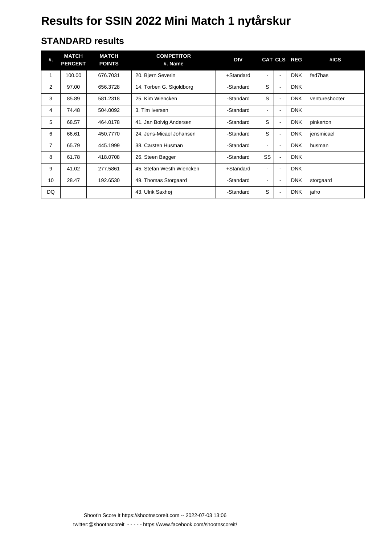#### **STANDARD results**

| #.             | <b>MATCH</b><br><b>PERCENT</b> | <b>MATCH</b><br><b>POINTS</b> | <b>COMPETITOR</b><br>#. Name | <b>DIV</b> |                          |                          | CAT CLS REG | #ICS           |
|----------------|--------------------------------|-------------------------------|------------------------------|------------|--------------------------|--------------------------|-------------|----------------|
| 1              | 100.00                         | 676.7031                      | 20. Bjørn Severin            | +Standard  | $\blacksquare$           | ٠                        | <b>DNK</b>  | fed7has        |
| $\overline{2}$ | 97.00                          | 656.3728                      | 14. Torben G. Skjoldborg     | -Standard  | S                        | $\overline{\phantom{0}}$ | <b>DNK</b>  |                |
| 3              | 85.89                          | 581.2318                      | 25. Kim Wiencken             | -Standard  | S                        |                          | <b>DNK</b>  | ventureshooter |
| 4              | 74.48                          | 504.0092                      | 3. Tim Iversen               | -Standard  | $\blacksquare$           | $\blacksquare$           | <b>DNK</b>  |                |
| 5              | 68.57                          | 464.0178                      | 41. Jan Bolvig Andersen      | -Standard  | S                        | $\blacksquare$           | <b>DNK</b>  | pinkerton      |
| 6              | 66.61                          | 450.7770                      | 24. Jens-Micael Johansen     | -Standard  | S                        | $\blacksquare$           | <b>DNK</b>  | jensmicael     |
| $\overline{7}$ | 65.79                          | 445.1999                      | 38. Carsten Husman           | -Standard  | $\blacksquare$           | $\blacksquare$           | <b>DNK</b>  | husman         |
| 8              | 61.78                          | 418.0708                      | 26. Steen Bagger             | -Standard  | SS                       | $\blacksquare$           | <b>DNK</b>  |                |
| 9              | 41.02                          | 277.5861                      | 45. Stefan Westh Wiencken    | +Standard  | $\blacksquare$           | Ē,                       | <b>DNK</b>  |                |
| 10             | 28.47                          | 192.6530                      | 49. Thomas Storgaard         | -Standard  | $\overline{\phantom{a}}$ | $\blacksquare$           | <b>DNK</b>  | storgaard      |
| DQ.            |                                |                               | 43. Ulrik Saxhøj             | -Standard  | S                        | $\blacksquare$           | <b>DNK</b>  | jafro          |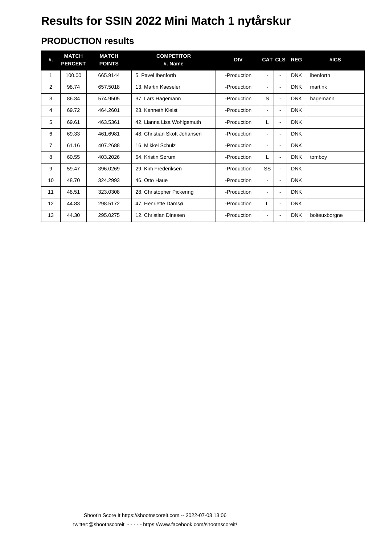#### **PRODUCTION results**

| #.             | <b>MATCH</b><br><b>PERCENT</b> | <b>MATCH</b><br><b>POINTS</b> | <b>COMPETITOR</b><br>#. Name | <b>DIV</b>  |                |                          | CAT CLS REG | #ICS          |
|----------------|--------------------------------|-------------------------------|------------------------------|-------------|----------------|--------------------------|-------------|---------------|
| 1              | 100.00                         | 665.9144                      | 5. Pavel Ibenforth           | -Production | $\blacksquare$ | $\blacksquare$           | <b>DNK</b>  | ibenforth     |
| 2              | 98.74                          | 657.5018                      | 13. Martin Kaeseler          | -Production | $\blacksquare$ | $\blacksquare$           | <b>DNK</b>  | martink       |
| 3              | 86.34                          | 574.9505                      | 37. Lars Hagemann            | -Production | S              | $\blacksquare$           | <b>DNK</b>  | hagemann      |
| 4              | 69.72                          | 464.2601                      | 23. Kenneth Kleist           | -Production | $\blacksquare$ | $\blacksquare$           | <b>DNK</b>  |               |
| 5              | 69.61                          | 463.5361                      | 42. Lianna Lisa Wohlgemuth   | -Production | L              | $\blacksquare$           | <b>DNK</b>  |               |
| 6              | 69.33                          | 461.6981                      | 48. Christian Skott Johansen | -Production | $\blacksquare$ | $\blacksquare$           | <b>DNK</b>  |               |
| $\overline{7}$ | 61.16                          | 407.2688                      | 16. Mikkel Schulz            | -Production | $\blacksquare$ | $\blacksquare$           | <b>DNK</b>  |               |
| 8              | 60.55                          | 403.2026                      | 54. Kristin Sørum            | -Production | L              | $\blacksquare$           | <b>DNK</b>  | tomboy        |
| 9              | 59.47                          | 396.0269                      | 29. Kim Frederiksen          | -Production | SS             | $\overline{\phantom{0}}$ | <b>DNK</b>  |               |
| 10             | 48.70                          | 324.2993                      | 46. Otto Haue                | -Production | $\blacksquare$ | $\blacksquare$           | <b>DNK</b>  |               |
| 11             | 48.51                          | 323.0308                      | 28. Christopher Pickering    | -Production | $\blacksquare$ | $\blacksquare$           | <b>DNK</b>  |               |
| 12             | 44.83                          | 298.5172                      | 47. Henriette Damsø          | -Production | L              | $\blacksquare$           | <b>DNK</b>  |               |
| 13             | 44.30                          | 295.0275                      | 12. Christian Dinesen        | -Production | ۰              |                          | <b>DNK</b>  | boiteuxborgne |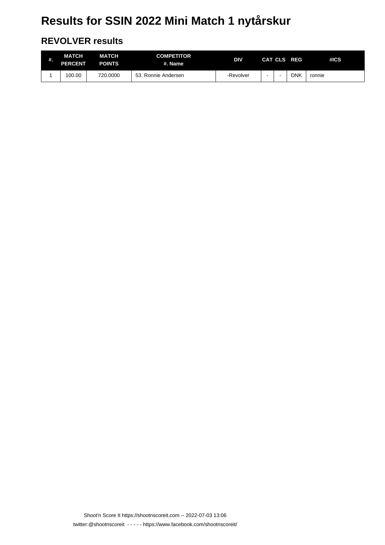#### **REVOLVER results**

| #. | MATCH<br><b>PERCENT</b> | <b>MATCH</b><br><b>POINTS</b> | <b>COMPETITOR</b><br>#. Name | <b>DIV</b> |  | CAT CLS REG | HCS    |
|----|-------------------------|-------------------------------|------------------------------|------------|--|-------------|--------|
|    | 100.00                  | 720.0000                      | 53. Ronnie Andersen          | -Revolver  |  | DNK         | ronnie |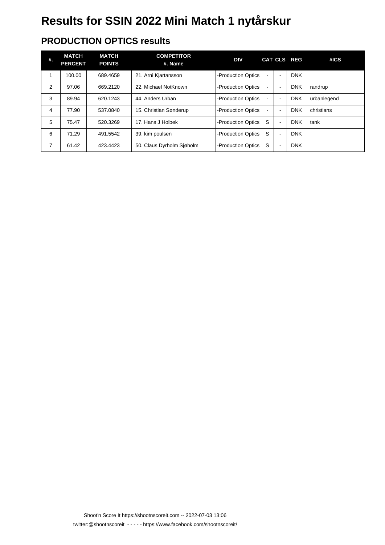### **PRODUCTION OPTICS results**

| #. | <b>MATCH</b><br><b>PERCENT</b> | <b>MATCH</b><br><b>POINTS</b> | <b>COMPETITOR</b><br>#. Name | <b>DIV</b>         |                |                          | CAT CLS REG | #ICS        |
|----|--------------------------------|-------------------------------|------------------------------|--------------------|----------------|--------------------------|-------------|-------------|
|    | 100.00                         | 689.4659                      | 21. Arni Kjartansson         | -Production Optics | $\blacksquare$ | $\blacksquare$           | <b>DNK</b>  |             |
| 2  | 97.06                          | 669.2120                      | 22. Michael NotKnown         | -Production Optics | $\blacksquare$ | $\blacksquare$           | <b>DNK</b>  | randrup     |
| 3  | 89.94                          | 620.1243                      | 44. Anders Urban             | -Production Optics | $\blacksquare$ | $\blacksquare$           | <b>DNK</b>  | urbanlegend |
| 4  | 77.90                          | 537.0840                      | 15. Christian Sønderup       | -Production Optics | $\blacksquare$ | $\overline{\phantom{a}}$ | <b>DNK</b>  | christians  |
| 5  | 75.47                          | 520.3269                      | 17. Hans J Holbek            | -Production Optics | S              | $\blacksquare$           | <b>DNK</b>  | tank        |
| 6  | 71.29                          | 491.5542                      | 39. kim poulsen              | -Production Optics | S              | $\blacksquare$           | <b>DNK</b>  |             |
| 7  | 61.42                          | 423.4423                      | 50. Claus Dyrholm Siøholm    | -Production Optics | S              | $\overline{\phantom{a}}$ | <b>DNK</b>  |             |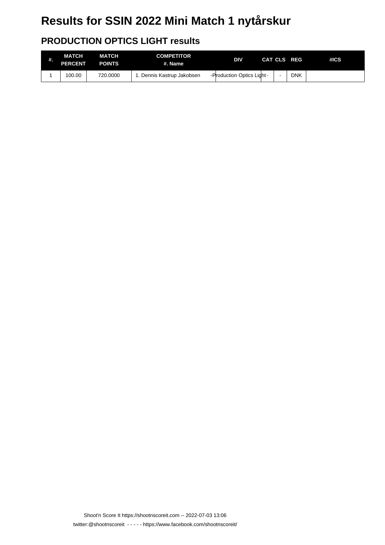### **PRODUCTION OPTICS LIGHT results**

| #. | MATCH<br><b>PERCENT</b> | <b>MATCH</b><br><b>POINTS</b> | <b>COMPETITOR</b><br>#. Name | <b>DIV</b>                |  | CAT CLS REG | #ICS |
|----|-------------------------|-------------------------------|------------------------------|---------------------------|--|-------------|------|
|    | 100.00                  | 720,0000                      | . Dennis Kastrup Jakobsen    | -Production Optics Light- |  | <b>DNK</b>  |      |